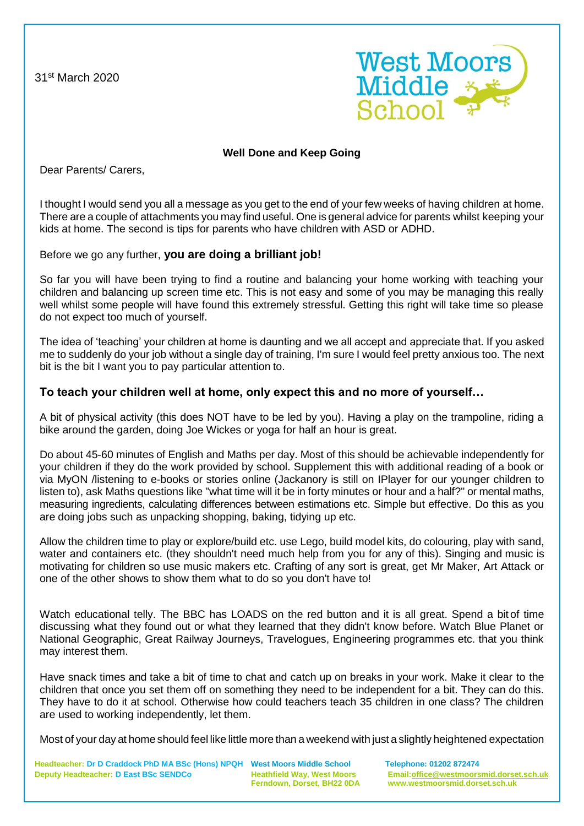31st March 2020



## **Well Done and Keep Going**

Dear Parents/ Carers,

I thought I would send you all a message as you get to the end of your few weeks of having children at home. There are a couple of attachments you may find useful. One is general advice for parents whilst keeping your kids at home. The second is tips for parents who have children with ASD or ADHD.

### Before we go any further, **you are doing a brilliant job!**

So far you will have been trying to find a routine and balancing your home working with teaching your children and balancing up screen time etc. This is not easy and some of you may be managing this really well whilst some people will have found this extremely stressful. Getting this right will take time so please do not expect too much of yourself.

The idea of 'teaching' your children at home is daunting and we all accept and appreciate that. If you asked me to suddenly do your job without a single day of training, I'm sure I would feel pretty anxious too. The next bit is the bit I want you to pay particular attention to.

### **To teach your children well at home, only expect this and no more of yourself…**

A bit of physical activity (this does NOT have to be led by you). Having a play on the trampoline, riding a bike around the garden, doing Joe Wickes or yoga for half an hour is great.

Do about 45-60 minutes of English and Maths per day. Most of this should be achievable independently for your children if they do the work provided by school. Supplement this with additional reading of a book or via MyON /listening to e-books or stories online (Jackanory is still on IPlayer for our younger children to listen to), ask Maths questions like "what time will it be in forty minutes or hour and a half?" or mental maths, measuring ingredients, calculating differences between estimations etc. Simple but effective. Do this as you are doing jobs such as unpacking shopping, baking, tidying up etc.

Allow the children time to play or explore/build etc. use Lego, build model kits, do colouring, play with sand, water and containers etc. (they shouldn't need much help from you for any of this). Singing and music is motivating for children so use music makers etc. Crafting of any sort is great, get Mr Maker, Art Attack or one of the other shows to show them what to do so you don't have to!

Watch educational telly. The BBC has LOADS on the red button and it is all great. Spend a bit of time discussing what they found out or what they learned that they didn't know before. Watch Blue Planet or National Geographic, Great Railway Journeys, Travelogues, Engineering programmes etc. that you think may interest them.

Have snack times and take a bit of time to chat and catch up on breaks in your work. Make it clear to the children that once you set them off on something they need to be independent for a bit. They can do this. They have to do it at school. Otherwise how could teachers teach 35 children in one class? The children are used to working independently, let them.

Most of your day at home should feel like little more than a weekend with just a slightly heightened expectation

**Headteacher: Dr D Craddock PhD MA BSc (Hons) NPQH West Moors Middle School Telephone: 01202 872474 Deputy Headteacher: D East BSc SENDCo Heathfield Way, West Moors Email[:office@westmoorsmid.dorset.sch.uk](mailto:office@westmoorsmid.dorset.sch.uk)**

 **Ferndown, Dorset, BH22 0DA www.westmoorsmid.dorset.sch.uk**